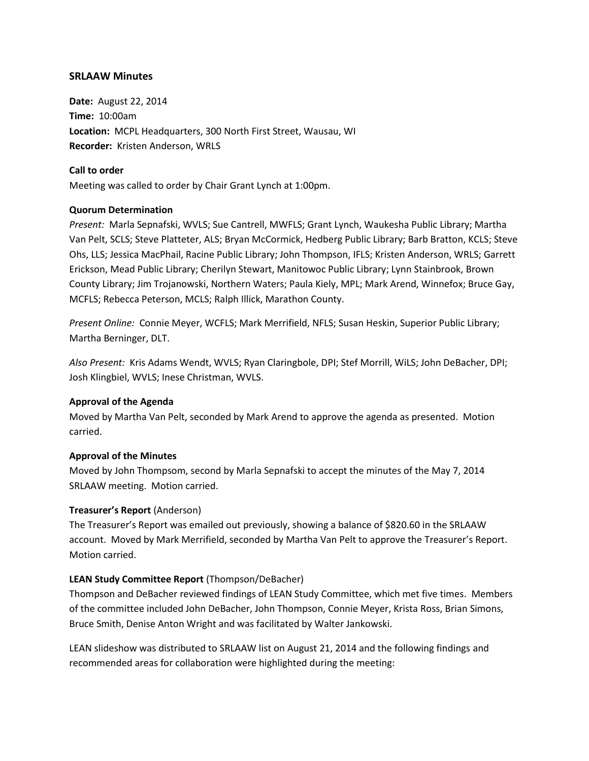# **SRLAAW Minutes**

**Date:** August 22, 2014 **Time:** 10:00am **Location:** MCPL Headquarters, 300 North First Street, Wausau, WI **Recorder:** Kristen Anderson, WRLS

# **Call to order**

Meeting was called to order by Chair Grant Lynch at 1:00pm.

# **Quorum Determination**

*Present:* Marla Sepnafski, WVLS; Sue Cantrell, MWFLS; Grant Lynch, Waukesha Public Library; Martha Van Pelt, SCLS; Steve Platteter, ALS; Bryan McCormick, Hedberg Public Library; Barb Bratton, KCLS; Steve Ohs, LLS; Jessica MacPhail, Racine Public Library; John Thompson, IFLS; Kristen Anderson, WRLS; Garrett Erickson, Mead Public Library; Cherilyn Stewart, Manitowoc Public Library; Lynn Stainbrook, Brown County Library; Jim Trojanowski, Northern Waters; Paula Kiely, MPL; Mark Arend, Winnefox; Bruce Gay, MCFLS; Rebecca Peterson, MCLS; Ralph Illick, Marathon County.

*Present Online:* Connie Meyer, WCFLS; Mark Merrifield, NFLS; Susan Heskin, Superior Public Library; Martha Berninger, DLT.

*Also Present:* Kris Adams Wendt, WVLS; Ryan Claringbole, DPI; Stef Morrill, WiLS; John DeBacher, DPI; Josh Klingbiel, WVLS; Inese Christman, WVLS.

# **Approval of the Agenda**

Moved by Martha Van Pelt, seconded by Mark Arend to approve the agenda as presented. Motion carried.

# **Approval of the Minutes**

Moved by John Thompsom, second by Marla Sepnafski to accept the minutes of the May 7, 2014 SRLAAW meeting. Motion carried.

# **Treasurer's Report** (Anderson)

The Treasurer's Report was emailed out previously, showing a balance of \$820.60 in the SRLAAW account. Moved by Mark Merrifield, seconded by Martha Van Pelt to approve the Treasurer's Report. Motion carried.

# **LEAN Study Committee Report** (Thompson/DeBacher)

Thompson and DeBacher reviewed findings of LEAN Study Committee, which met five times. Members of the committee included John DeBacher, John Thompson, Connie Meyer, Krista Ross, Brian Simons, Bruce Smith, Denise Anton Wright and was facilitated by Walter Jankowski.

LEAN slideshow was distributed to SRLAAW list on August 21, 2014 and the following findings and recommended areas for collaboration were highlighted during the meeting: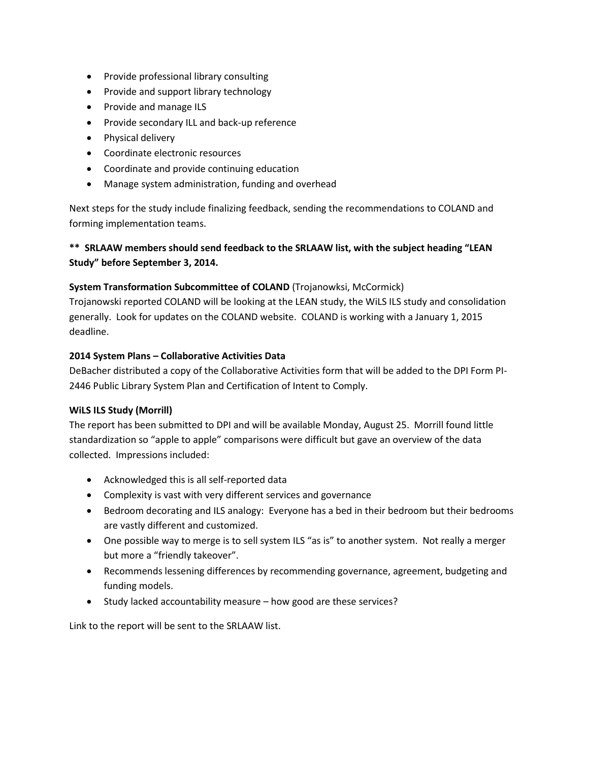- Provide professional library consulting
- Provide and support library technology
- Provide and manage ILS
- Provide secondary ILL and back-up reference
- Physical delivery
- Coordinate electronic resources
- Coordinate and provide continuing education
- Manage system administration, funding and overhead

Next steps for the study include finalizing feedback, sending the recommendations to COLAND and forming implementation teams.

# **\*\* SRLAAW members should send feedback to the SRLAAW list, with the subject heading "LEAN Study" before September 3, 2014.**

# **System Transformation Subcommittee of COLAND** (Trojanowksi, McCormick)

Trojanowski reported COLAND will be looking at the LEAN study, the WiLS ILS study and consolidation generally. Look for updates on the COLAND website. COLAND is working with a January 1, 2015 deadline.

#### **2014 System Plans – Collaborative Activities Data**

DeBacher distributed a copy of the Collaborative Activities form that will be added to the DPI Form PI-2446 Public Library System Plan and Certification of Intent to Comply.

#### **WiLS ILS Study (Morrill)**

The report has been submitted to DPI and will be available Monday, August 25. Morrill found little standardization so "apple to apple" comparisons were difficult but gave an overview of the data collected. Impressions included:

- Acknowledged this is all self-reported data
- Complexity is vast with very different services and governance
- Bedroom decorating and ILS analogy: Everyone has a bed in their bedroom but their bedrooms are vastly different and customized.
- One possible way to merge is to sell system ILS "as is" to another system. Not really a merger but more a "friendly takeover".
- Recommends lessening differences by recommending governance, agreement, budgeting and funding models.
- Study lacked accountability measure how good are these services?

Link to the report will be sent to the SRLAAW list.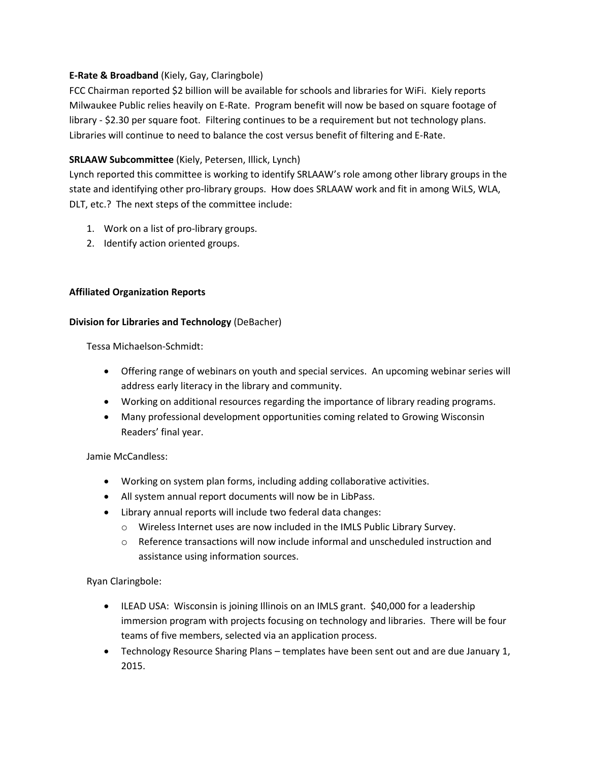# **E-Rate & Broadband** (Kiely, Gay, Claringbole)

FCC Chairman reported \$2 billion will be available for schools and libraries for WiFi. Kiely reports Milwaukee Public relies heavily on E-Rate. Program benefit will now be based on square footage of library - \$2.30 per square foot. Filtering continues to be a requirement but not technology plans. Libraries will continue to need to balance the cost versus benefit of filtering and E-Rate.

# **SRLAAW Subcommittee** (Kiely, Petersen, Illick, Lynch)

Lynch reported this committee is working to identify SRLAAW's role among other library groups in the state and identifying other pro-library groups. How does SRLAAW work and fit in among WiLS, WLA, DLT, etc.? The next steps of the committee include:

- 1. Work on a list of pro-library groups.
- 2. Identify action oriented groups.

# **Affiliated Organization Reports**

#### **Division for Libraries and Technology** (DeBacher)

Tessa Michaelson-Schmidt:

- Offering range of webinars on youth and special services. An upcoming webinar series will address early literacy in the library and community.
- Working on additional resources regarding the importance of library reading programs.
- Many professional development opportunities coming related to Growing Wisconsin Readers' final year.

# Jamie McCandless:

- Working on system plan forms, including adding collaborative activities.
- All system annual report documents will now be in LibPass.
- Library annual reports will include two federal data changes:
	- o Wireless Internet uses are now included in the IMLS Public Library Survey.
	- o Reference transactions will now include informal and unscheduled instruction and assistance using information sources.

Ryan Claringbole:

- ILEAD USA: Wisconsin is joining Illinois on an IMLS grant. \$40,000 for a leadership immersion program with projects focusing on technology and libraries. There will be four teams of five members, selected via an application process.
- Technology Resource Sharing Plans templates have been sent out and are due January 1, 2015.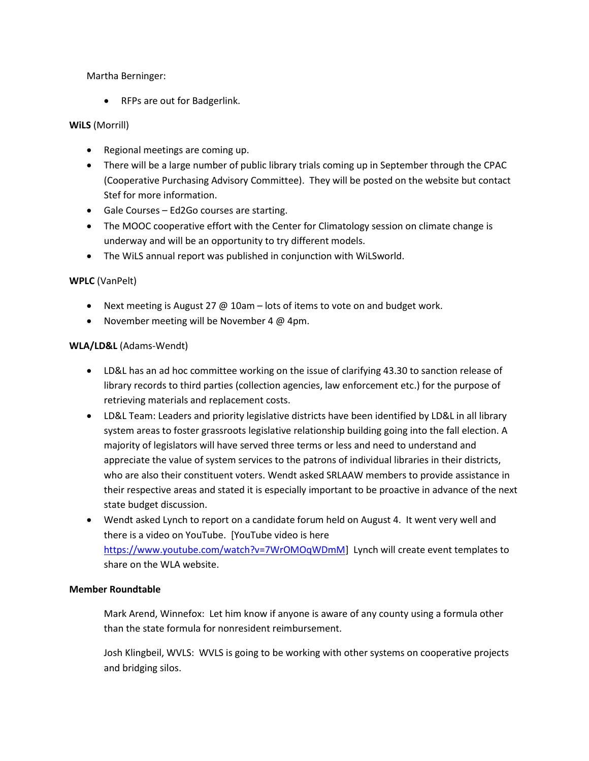# Martha Berninger:

• RFPs are out for Badgerlink.

# **WiLS** (Morrill)

- Regional meetings are coming up.
- There will be a large number of public library trials coming up in September through the CPAC (Cooperative Purchasing Advisory Committee). They will be posted on the website but contact Stef for more information.
- Gale Courses Ed2Go courses are starting.
- The MOOC cooperative effort with the Center for Climatology session on climate change is underway and will be an opportunity to try different models.
- The WiLS annual report was published in conjunction with WiLSworld.

# **WPLC** (VanPelt)

- Next meeting is August 27 @ 10am lots of items to vote on and budget work.
- November meeting will be November 4  $@$  4pm.

# **WLA/LD&L** (Adams-Wendt)

- LD&L has an ad hoc committee working on the issue of clarifying 43.30 to sanction release of library records to third parties (collection agencies, law enforcement etc.) for the purpose of retrieving materials and replacement costs.
- LD&L Team: Leaders and priority legislative districts have been identified by LD&L in all library system areas to foster grassroots legislative relationship building going into the fall election. A majority of legislators will have served three terms or less and need to understand and appreciate the value of system services to the patrons of individual libraries in their districts, who are also their constituent voters. Wendt asked SRLAAW members to provide assistance in their respective areas and stated it is especially important to be proactive in advance of the next state budget discussion.
- Wendt asked Lynch to report on a candidate forum held on August 4. It went very well and there is a video on YouTube. [YouTube video is here [https://www.youtube.com/watch?v=7WrOMOqWDmM\]](https://www.youtube.com/watch?v=7WrOMOqWDmM) Lynch will create event templates to share on the WLA website.

# **Member Roundtable**

Mark Arend, Winnefox: Let him know if anyone is aware of any county using a formula other than the state formula for nonresident reimbursement.

Josh Klingbeil, WVLS: WVLS is going to be working with other systems on cooperative projects and bridging silos.